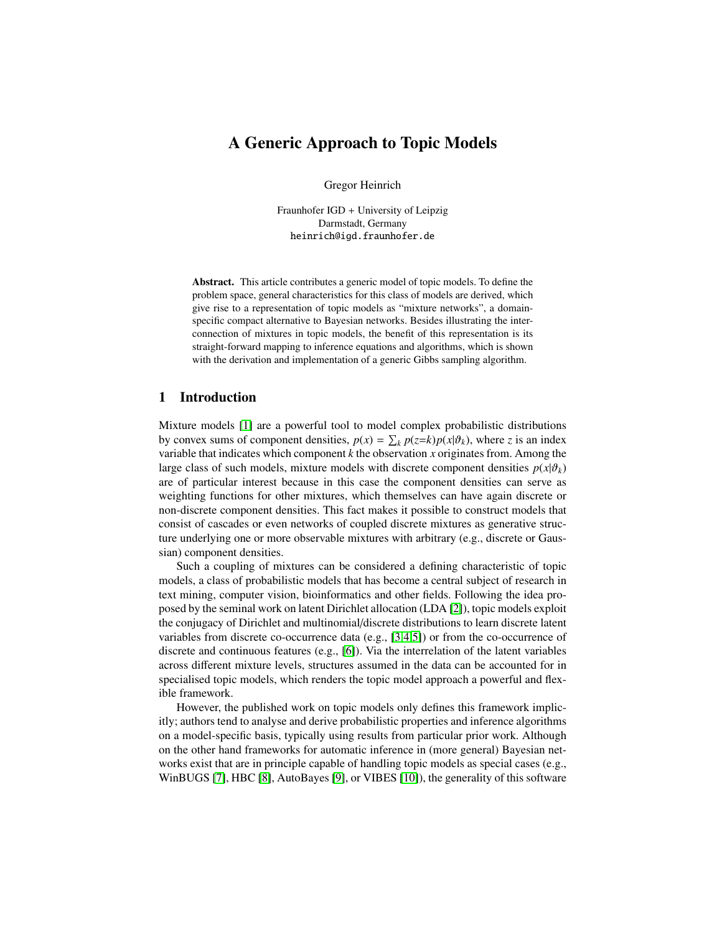# A Generic Approach to Topic Models

Gregor Heinrich

Fraunhofer IGD + University of Leipzig Darmstadt, Germany heinrich@igd.fraunhofer.de

Abstract. This article contributes a generic model of topic models. To define the problem space, general characteristics for this class of models are derived, which give rise to a representation of topic models as "mixture networks", a domainspecific compact alternative to Bayesian networks. Besides illustrating the interconnection of mixtures in topic models, the benefit of this representation is its straight-forward mapping to inference equations and algorithms, which is shown with the derivation and implementation of a generic Gibbs sampling algorithm.

## <span id="page-0-0"></span>1 Introduction

Mixture models [\[1\]](#page-14-0) are a powerful tool to model complex probabilistic distributions by convex sums of component densities,  $p(x) = \sum_k p(z=k)p(x|\vartheta_k)$ , where *z* is an index variable that indicates which component *k* the observation *x* originates from. Among the large class of such models, mixture models with discrete component densities  $p(x|\theta_k)$ are of particular interest because in this case the component densities can serve as weighting functions for other mixtures, which themselves can have again discrete or non-discrete component densities. This fact makes it possible to construct models that consist of cascades or even networks of coupled discrete mixtures as generative structure underlying one or more observable mixtures with arbitrary (e.g., discrete or Gaussian) component densities.

Such a coupling of mixtures can be considered a defining characteristic of topic models, a class of probabilistic models that has become a central subject of research in text mining, computer vision, bioinformatics and other fields. Following the idea proposed by the seminal work on latent Dirichlet allocation (LDA [\[2\]](#page-14-1)), topic models exploit the conjugacy of Dirichlet and multinomial/discrete distributions to learn discrete latent variables from discrete co-occurrence data (e.g., [\[3](#page-14-2)[,4](#page-14-3)[,5\]](#page-14-4)) or from the co-occurrence of discrete and continuous features (e.g., [\[6\]](#page-14-5)). Via the interrelation of the latent variables across different mixture levels, structures assumed in the data can be accounted for in specialised topic models, which renders the topic model approach a powerful and flexible framework.

However, the published work on topic models only defines this framework implicitly; authors tend to analyse and derive probabilistic properties and inference algorithms on a model-specific basis, typically using results from particular prior work. Although on the other hand frameworks for automatic inference in (more general) Bayesian networks exist that are in principle capable of handling topic models as special cases (e.g., WinBUGS [\[7\]](#page-14-6), HBC [\[8\]](#page-14-7), AutoBayes [\[9\]](#page-14-8), or VIBES [\[10\]](#page-14-9)), the generality of this software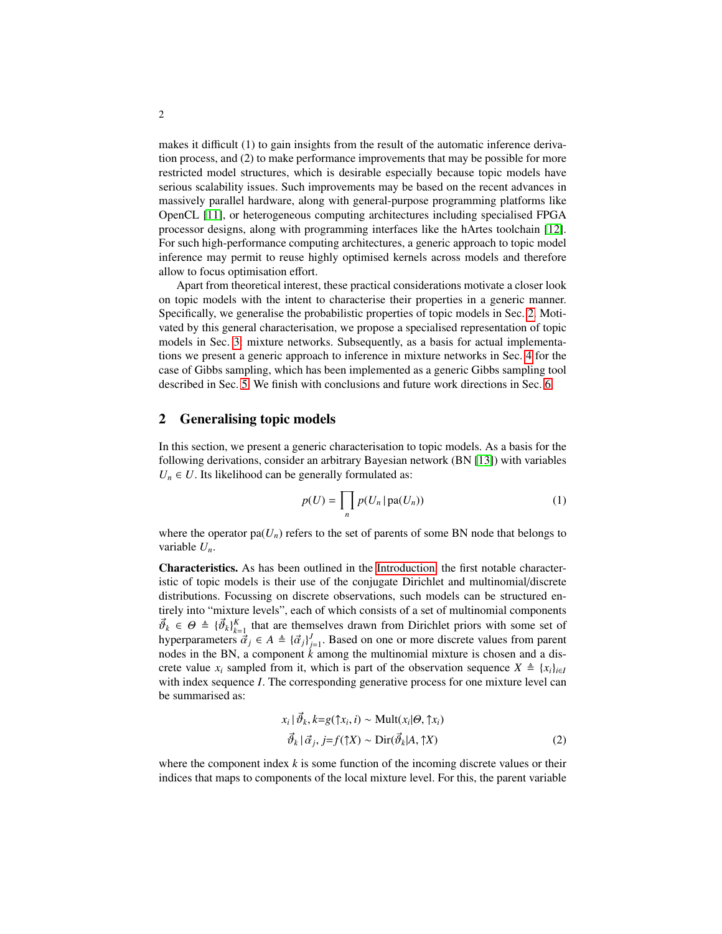makes it difficult (1) to gain insights from the result of the automatic inference derivation process, and (2) to make performance improvements that may be possible for more restricted model structures, which is desirable especially because topic models have serious scalability issues. Such improvements may be based on the recent advances in massively parallel hardware, along with general-purpose programming platforms like OpenCL [\[11\]](#page-14-10), or heterogeneous computing architectures including specialised FPGA processor designs, along with programming interfaces like the hArtes toolchain [\[12\]](#page-14-11). For such high-performance computing architectures, a generic approach to topic model inference may permit to reuse highly optimised kernels across models and therefore allow to focus optimisation effort.

Apart from theoretical interest, these practical considerations motivate a closer look on topic models with the intent to characterise their properties in a generic manner. Specifically, we generalise the probabilistic properties of topic models in Sec. [2.](#page-1-0) Motivated by this general characterisation, we propose a specialised representation of topic models in Sec. [3:](#page-3-0) mixture networks. Subsequently, as a basis for actual implementations we present a generic approach to inference in mixture networks in Sec. [4](#page-6-0) for the case of Gibbs sampling, which has been implemented as a generic Gibbs sampling tool described in Sec. [5.](#page-10-0) We finish with conclusions and future work directions in Sec. [6.](#page-13-0)

### <span id="page-1-0"></span>2 Generalising topic models

In this section, we present a generic characterisation to topic models. As a basis for the following derivations, consider an arbitrary Bayesian network (BN [\[13\]](#page-14-12)) with variables  $U_n \in U$ . Its likelihood can be generally formulated as:

<span id="page-1-2"></span>
$$
p(U) = \prod_{n} p(U_n | pa(U_n))
$$
 (1)

where the operator pa( $U_n$ ) refers to the set of parents of some BN node that belongs to variable *Un*.

Characteristics. As has been outlined in the [Introduction,](#page-0-0) the first notable characteristic of topic models is their use of the conjugate Dirichlet and multinomial/discrete distributions. Focussing on discrete observations, such models can be structured entirely into "mixture levels", each of which consists of a set of multinomial components  $\vec{\theta}_k \in \Theta \triangleq {\{\vec{\theta}_k\}}_{k=1}^K$  that are themselves drawn from Dirichlet priors with some set of hyperparameters  $\vec{a}_j \in A \triangleq {\{\vec{a}_j\}}_{j=1}^J$ . Based on one or more discrete values from parent nodes in the BN, a component *k* among the multinomial mixture is chosen and a discrete value *x<sub>i</sub>* sampled from it, which is part of the observation sequence  $X \triangleq \{x_i\}_{i \in I}$ with index sequence *I*. The corresponding generative process for one mixture level can be summarised as:

<span id="page-1-1"></span>
$$
x_i | \vec{\vartheta}_k, k = g(\uparrow x_i, i) \sim \text{Mult}(x_i | \theta, \uparrow x_i)
$$
  

$$
\vec{\vartheta}_k | \vec{\alpha}_j, j = f(\uparrow X) \sim \text{Dir}(\vec{\vartheta}_k | A, \uparrow X)
$$
 (2)

where the component index *k* is some function of the incoming discrete values or their indices that maps to components of the local mixture level. For this, the parent variable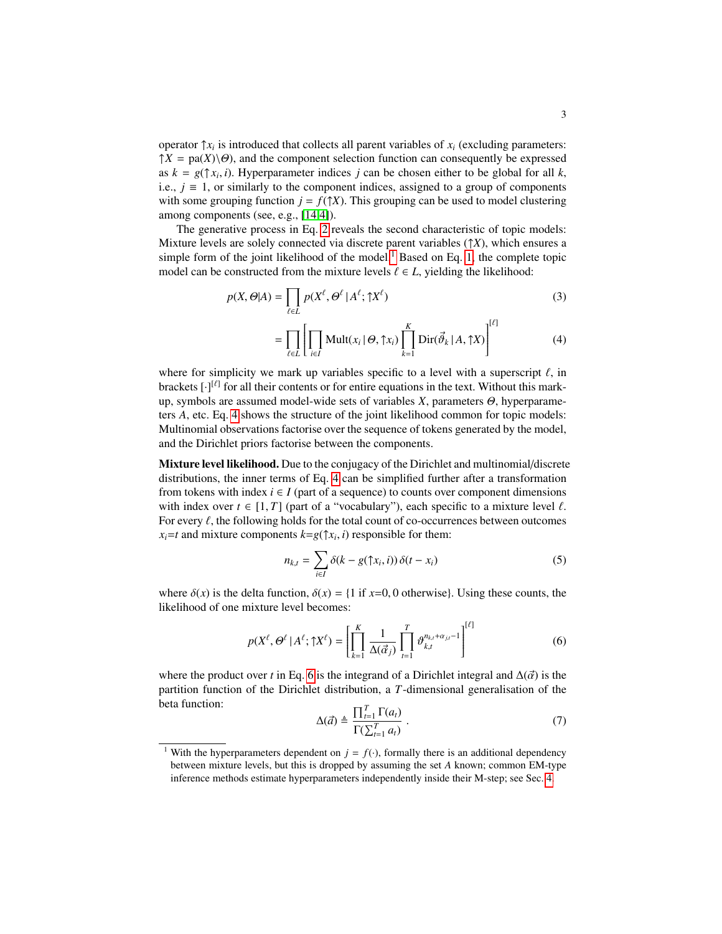operator  $\uparrow x_i$  is introduced that collects all parent variables of  $x_i$  (excluding parameters:  $\uparrow X = \text{pa}(X) \setminus \Theta$ , and the component selection function can consequently be expressed as  $k = g(\uparrow x_i, i)$ . Hyperparameter indices *j* can be chosen either to be global for all *k*, i.e.,  $j = 1$ , or similarly to the component indices, assigned to a group of components with some grouping function  $j = f(\uparrow X)$ . This grouping can be used to model clustering among components (see, e.g., [\[14,](#page-14-13)[4\]](#page-14-3)).

The generative process in Eq. [2](#page-1-1) reveals the second characteristic of topic models: Mixture levels are solely connected via discrete parent variables (↑*X*), which ensures a simple form of the joint likelihood of the model.<sup>[1](#page-2-0)</sup> Based on Eq. [1,](#page-1-2) the complete topic model can be constructed from the mixture levels  $\ell \in L$ , yielding the likelihood:

$$
p(X, \Theta | A) = \prod_{\ell \in L} p(X^{\ell}, \Theta^{\ell} | A^{\ell}; \uparrow X^{\ell})
$$
 (3)

<span id="page-2-3"></span><span id="page-2-1"></span>
$$
= \prod_{\ell \in L} \left[ \prod_{i \in I} \text{Mult}(x_i \mid \Theta, \uparrow x_i) \prod_{k=1}^K \text{Dir}(\vec{\vartheta}_k \mid A, \uparrow X) \right]^{[\ell]} \tag{4}
$$

where for simplicity we mark up variables specific to a level with a superscript  $\ell$ , in brackets  $[\cdot]^{[\ell]}$  for all their contents or for entire equations in the text. Without this markup, symbols are assumed model-wide sets of variables *X*, parameters Θ, hyperparameters *A*, etc. Eq. [4](#page-2-1) shows the structure of the joint likelihood common for topic models: Multinomial observations factorise over the sequence of tokens generated by the model, and the Dirichlet priors factorise between the components.

Mixture level likelihood. Due to the conjugacy of the Dirichlet and multinomial/discrete distributions, the inner terms of Eq. [4](#page-2-1) can be simplified further after a transformation from tokens with index  $i \in I$  (part of a sequence) to counts over component dimensions with index over  $t \in [1, T]$  (part of a "vocabulary"), each specific to a mixture level  $\ell$ . For every  $\ell$ , the following holds for the total count of co-occurrences between outcomes  $x_i = t$  and mixture components  $k = g(\uparrow x_i, i)$  responsible for them:

$$
n_{k,t} = \sum_{i \in I} \delta(k - g(\uparrow x_i, i)) \delta(t - x_i)
$$
 (5)

where  $\delta(x)$  is the delta function,  $\delta(x) = \{1 \text{ if } x=0, 0 \text{ otherwise}\}\)$ . Using these counts, the likelihood of one mixture level becomes:

$$
p(X^{\ell}, \Theta^{\ell} | A^{\ell}; \uparrow X^{\ell}) = \left[ \prod_{k=1}^{K} \frac{1}{\Delta(\vec{\alpha}_j)} \prod_{t=1}^{T} \vartheta_{k,t}^{n_{k,t} + \alpha_{jt} - 1} \right]^{[\ell]} \tag{6}
$$

where the product over *t* in Eq. [6](#page-2-2) is the integrand of a Dirichlet integral and  $\Delta(\vec{\alpha})$  is the partition function of the Dirichlet distribution, a *T*-dimensional generalisation of the beta function:

<span id="page-2-2"></span>
$$
\Delta(\vec{a}) \triangleq \frac{\prod_{t=1}^{T} \Gamma(a_t)}{\Gamma(\sum_{t=1}^{T} a_t)} \ . \tag{7}
$$

<span id="page-2-0"></span><sup>&</sup>lt;sup>1</sup> With the hyperparameters dependent on  $j = f(.)$ , formally there is an additional dependency between mixture levels, but this is dropped by assuming the set *A* known; common EM-type inference methods estimate hyperparameters independently inside their M-step; see Sec. [4.](#page-6-0)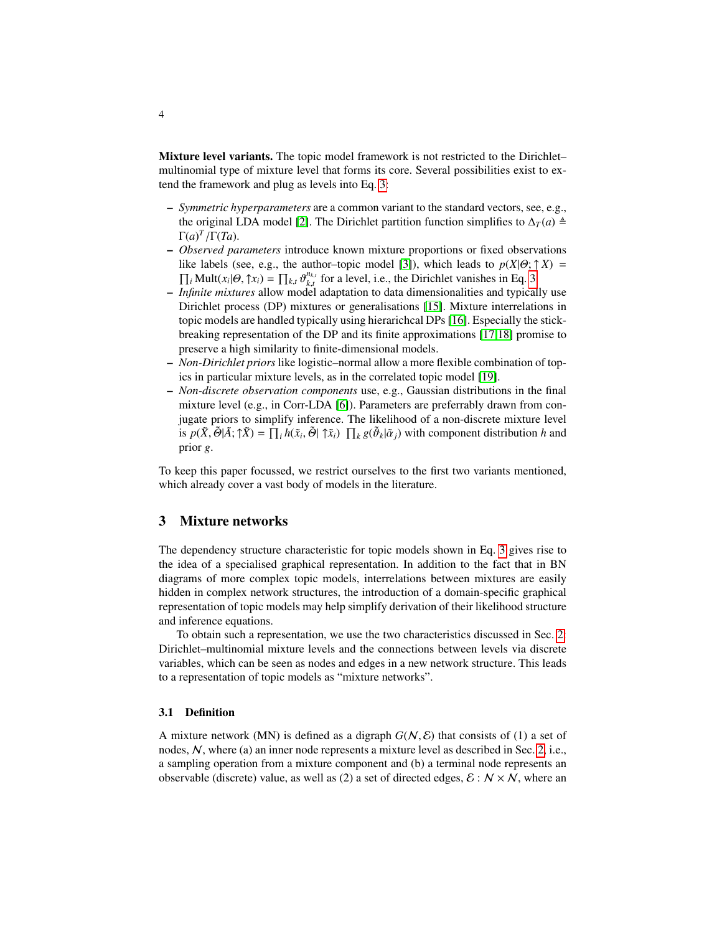Mixture level variants. The topic model framework is not restricted to the Dirichlet– multinomial type of mixture level that forms its core. Several possibilities exist to extend the framework and plug as levels into Eq. [3:](#page-2-3)

- *Symmetric hyperparameters* are a common variant to the standard vectors, see, e.g., the original LDA model [\[2\]](#page-14-1). The Dirichlet partition function simplifies to  $\Delta_T(a)$   $\triangleq$  $\Gamma(a)^{T}/\Gamma(Ta)$ .
- *Observed parameters* introduce known mixture proportions or fixed observations like labels (see, e.g., the author–topic model [\[3\]](#page-14-2)), which leads to  $p(X|\Theta; \uparrow X) = \prod_i \text{Mult}(x_i|\Theta, \uparrow x_i) = \prod_{k,t} \vartheta_{k,t}^{n_{k,t}}$  for a level, i.e., the Dirichlet vanishes in Eq. 3.  $\frac{n_{k,t}}{k,t}$  for a level, i.e., the Dirichlet vanishes in Eq. [3.](#page-2-3)
- *Infinite mixtures* allow model adaptation to data dimensionalities and typically use Dirichlet process (DP) mixtures or generalisations [\[15\]](#page-14-14). Mixture interrelations in topic models are handled typically using hierarichcal DPs [\[16\]](#page-14-15). Especially the stickbreaking representation of the DP and its finite approximations [\[17,](#page-14-16)[18\]](#page-14-17) promise to preserve a high similarity to finite-dimensional models.
- *Non-Dirichlet priors* like logistic–normal allow a more flexible combination of topics in particular mixture levels, as in the correlated topic model [\[19\]](#page-14-18).
- *Non-discrete observation components* use, e.g., Gaussian distributions in the final mixture level (e.g., in Corr-LDA [\[6\]](#page-14-5)). Parameters are preferrably drawn from conjugate priors to simplify inference. The likelihood of a non-discrete mixture level is  $p(\tilde{X}, \tilde{\Theta} | \tilde{A}; \tilde{X}) = \prod_i h(\tilde{x}_i, \tilde{\Theta} | \tilde{X}_i) \prod_k g(\tilde{\theta}_k | \tilde{\alpha}_j)$  with component distribution *h* and prior *g*.

To keep this paper focussed, we restrict ourselves to the first two variants mentioned, which already cover a vast body of models in the literature.

## <span id="page-3-0"></span>3 Mixture networks

The dependency structure characteristic for topic models shown in Eq. [3](#page-2-3) gives rise to the idea of a specialised graphical representation. In addition to the fact that in BN diagrams of more complex topic models, interrelations between mixtures are easily hidden in complex network structures, the introduction of a domain-specific graphical representation of topic models may help simplify derivation of their likelihood structure and inference equations.

To obtain such a representation, we use the two characteristics discussed in Sec. [2:](#page-1-0) Dirichlet–multinomial mixture levels and the connections between levels via discrete variables, which can be seen as nodes and edges in a new network structure. This leads to a representation of topic models as "mixture networks".

#### 3.1 Definition

A mixture network (MN) is defined as a digraph  $G(N, \mathcal{E})$  that consists of (1) a set of nodes, N, where (a) an inner node represents a mixture level as described in Sec. [2,](#page-1-0) i.e., a sampling operation from a mixture component and (b) a terminal node represents an observable (discrete) value, as well as (2) a set of directed edges,  $\mathcal{E}: N \times N$ , where an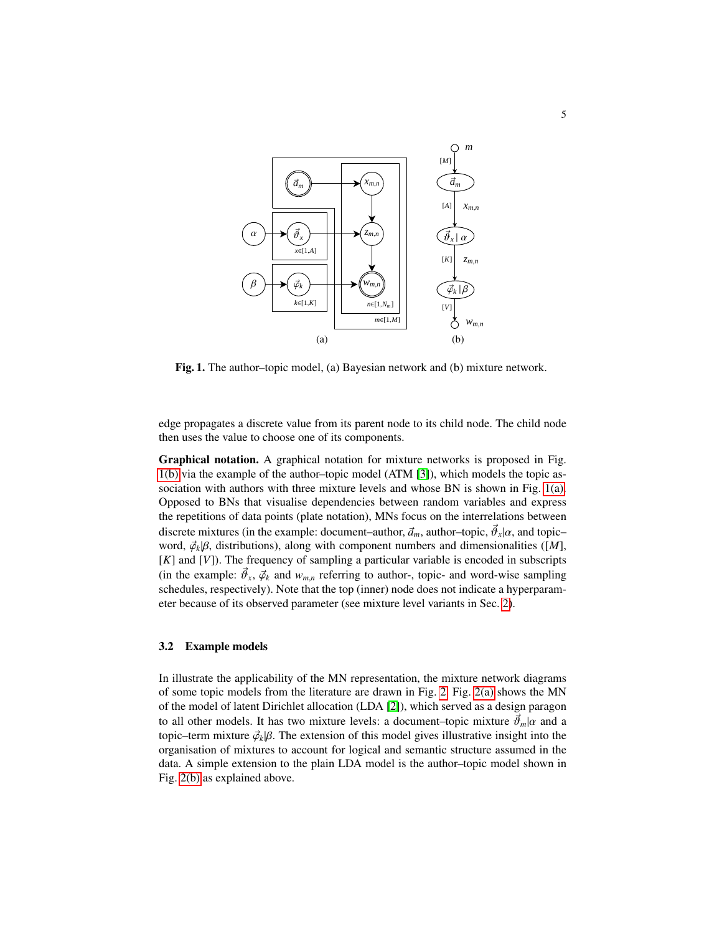<span id="page-4-1"></span>

<span id="page-4-0"></span>Fig. 1. The author–topic model, (a) Bayesian network and (b) mixture network.

edge propagates a discrete value from its parent node to its child node. The child node then uses the value to choose one of its components.

Graphical notation. A graphical notation for mixture networks is proposed in Fig. [1\(b\)](#page-4-0) via the example of the author–topic model (ATM [\[3\]](#page-14-2)), which models the topic association with authors with three mixture levels and whose BN is shown in Fig. [1\(a\).](#page-4-1) Opposed to BNs that visualise dependencies between random variables and express the repetitions of data points (plate notation), MNs focus on the interrelations between discrete mixtures (in the example: document–author,  $\vec{a}_m$ , author–topic,  $\vec{\phi}_x | \alpha$ , and topic– word,  $\phi_k | \beta$ , distributions), along with component numbers and dimensionalities ([M], [*K*] and [*V*]). The frequency of sampling a particular variable is encoded in subscripts (in the example:  $\vec{\theta}_x$ ,  $\vec{\varphi}_k$  and  $w_{m,n}$  referring to author-, topic- and word-wise sampling schedules, respectively). Note that the top (inner) node does not indicate a hyperparameter because of its observed parameter (see mixture level variants in Sec. [2\)](#page-1-0).

### 3.2 Example models

In illustrate the applicability of the MN representation, the mixture network diagrams of some topic models from the literature are drawn in Fig. [2.](#page-5-0) Fig. [2\(a\)](#page-5-1) shows the MN of the model of latent Dirichlet allocation (LDA [\[2\]](#page-14-1)), which served as a design paragon to all other models. It has two mixture levels: a document–topic mixture  $\vec{\theta}_m|\alpha$  and a topic–term mixture  $\vec{\varphi}_k$ | $\beta$ . The extension of this model gives illustrative insight into the organisation of mixtures to account for logical and semantic structure assumed in the data. A simple extension to the plain LDA model is the author–topic model shown in Fig. [2\(b\)](#page-5-2) as explained above.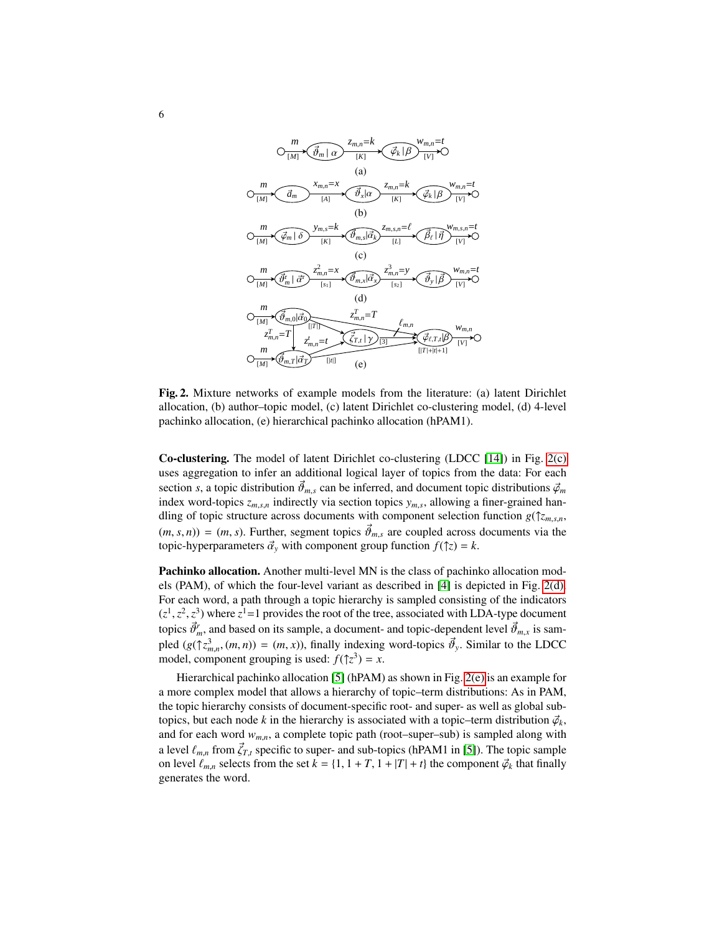<span id="page-5-3"></span><span id="page-5-2"></span><span id="page-5-1"></span>

<span id="page-5-5"></span><span id="page-5-4"></span><span id="page-5-0"></span>Fig. 2. Mixture networks of example models from the literature: (a) latent Dirichlet allocation, (b) author–topic model, (c) latent Dirichlet co-clustering model, (d) 4-level pachinko allocation, (e) hierarchical pachinko allocation (hPAM1).

Co-clustering. The model of latent Dirichlet co-clustering (LDCC [\[14\]](#page-14-13)) in Fig. [2\(c\)](#page-5-3) uses aggregation to infer an additional logical layer of topics from the data: For each section *s*, a topic distribution  $\vec{\theta}_{m,s}$  can be inferred, and document topic distributions  $\vec{\varphi}_m$ index word-topics *zm*,*s*,*<sup>n</sup>* indirectly via section topics *ym*,*<sup>s</sup>* , allowing a finer-grained handling of topic structure across documents with component selection function *g*(↑*zm*,*s*,*n*,  $(m, s, n)$  =  $(m, s)$ . Further, segment topics  $\vec{\theta}_{m,s}$  are coupled across documents via the topic-hyperparameters  $\vec{\alpha}_v$  with component group function  $f(\uparrow z) = k$ .

Pachinko allocation. Another multi-level MN is the class of pachinko allocation models (PAM), of which the four-level variant as described in [\[4\]](#page-14-3) is depicted in Fig. [2\(d\).](#page-5-4) For each word, a path through a topic hierarchy is sampled consisting of the indicators  $(z^1, z^2, z^3)$  where  $z^1 = 1$  provides the root of the tree, associated with LDA-type document topics  $\vec{\theta}_m^r$ , and based on its sample, a document- and topic-dependent level  $\vec{\theta}_{m,x}$  is sampled  $(g(\uparrow z_{m,n}^3, (m, n)) = (m, x))$ , finally indexing word-topics  $\vec{\theta}_y$ . Similar to the LDCC model, component grouping is used:  $f(\uparrow z^3) = x$ .

Hierarchical pachinko allocation [\[5\]](#page-14-4) (hPAM) as shown in Fig. [2\(e\)](#page-5-5) is an example for a more complex model that allows a hierarchy of topic–term distributions: As in PAM, the topic hierarchy consists of document-specific root- and super- as well as global subtopics, but each node *k* in the hierarchy is associated with a topic–term distribution  $\vec{\varphi}_k$ , and for each word  $w_{m,n}$ , a complete topic path (root–super–sub) is sampled along with a level  $\ell_{m,n}$  from  $\vec{\zeta}_{T,t}$  specific to super- and sub-topics (hPAM1 in [\[5\]](#page-14-4)). The topic sample on level  $\ell_{m,n}$  selects from the set  $k = \{1, 1 + T, 1 + |T| + t\}$  the component  $\vec{\varphi}_k$  that finally generates the word.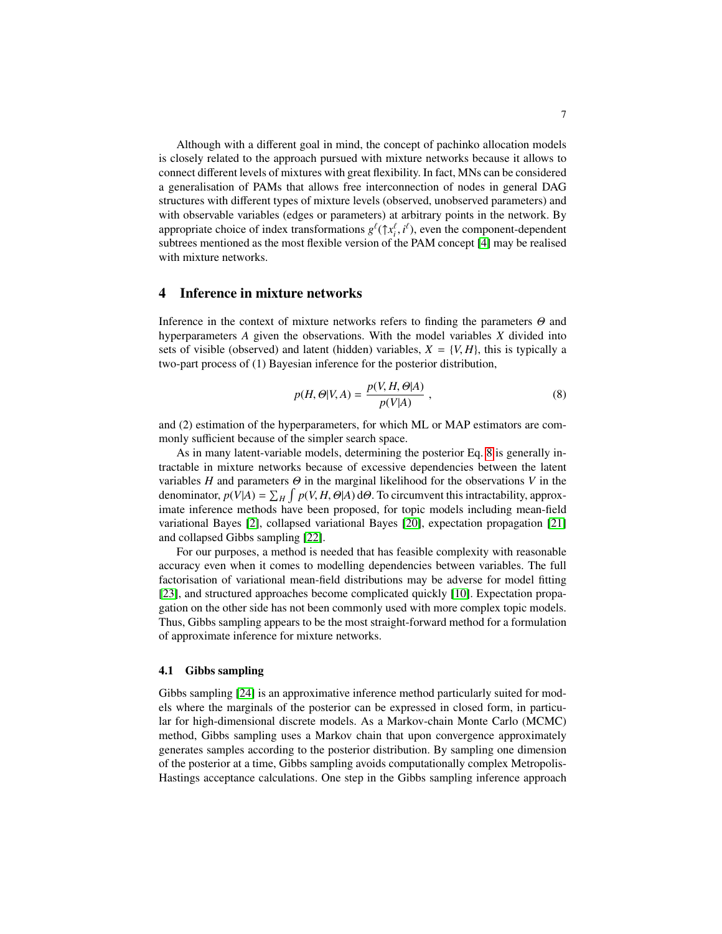Although with a different goal in mind, the concept of pachinko allocation models is closely related to the approach pursued with mixture networks because it allows to connect different levels of mixtures with great flexibility. In fact, MNs can be considered a generalisation of PAMs that allows free interconnection of nodes in general DAG structures with different types of mixture levels (observed, unobserved parameters) and with observable variables (edges or parameters) at arbitrary points in the network. By appropriate choice of index transformations  $g^{\ell}(\uparrow x_i^{\ell}, i^{\ell})$ , even the component-dependent subtrees mentioned as the most flexible version of the PAM concept [\[4\]](#page-14-3) may be realised with mixture networks.

# <span id="page-6-0"></span>4 Inference in mixture networks

Inference in the context of mixture networks refers to finding the parameters Θ and hyperparameters *A* given the observations. With the model variables *X* divided into sets of visible (observed) and latent (hidden) variables,  $X = \{V, H\}$ , this is typically a two-part process of (1) Bayesian inference for the posterior distribution,

<span id="page-6-1"></span>
$$
p(H, \Theta|V, A) = \frac{p(V, H, \Theta|A)}{p(V|A)},
$$
\n(8)

and (2) estimation of the hyperparameters, for which ML or MAP estimators are commonly sufficient because of the simpler search space.

As in many latent-variable models, determining the posterior Eq. [8](#page-6-1) is generally intractable in mixture networks because of excessive dependencies between the latent variables *H* and parameters  $\Theta$  in the marginal likelihood for the observations *V* in the denominator,  $p(V|A) = \sum_{H} \int p(V, H, \Theta|A) d\Theta$ . To circumvent this intractability, approximate inference methods have been proposed, for topic models including mean-field variational Bayes [\[2\]](#page-14-1), collapsed variational Bayes [\[20\]](#page-14-19), expectation propagation [\[21\]](#page-14-20) and collapsed Gibbs sampling [\[22\]](#page-15-0).

For our purposes, a method is needed that has feasible complexity with reasonable accuracy even when it comes to modelling dependencies between variables. The full factorisation of variational mean-field distributions may be adverse for model fitting [\[23\]](#page-15-1), and structured approaches become complicated quickly [\[10\]](#page-14-9). Expectation propagation on the other side has not been commonly used with more complex topic models. Thus, Gibbs sampling appears to be the most straight-forward method for a formulation of approximate inference for mixture networks.

#### 4.1 Gibbs sampling

Gibbs sampling [\[24\]](#page-15-2) is an approximative inference method particularly suited for models where the marginals of the posterior can be expressed in closed form, in particular for high-dimensional discrete models. As a Markov-chain Monte Carlo (MCMC) method, Gibbs sampling uses a Markov chain that upon convergence approximately generates samples according to the posterior distribution. By sampling one dimension of the posterior at a time, Gibbs sampling avoids computationally complex Metropolis-Hastings acceptance calculations. One step in the Gibbs sampling inference approach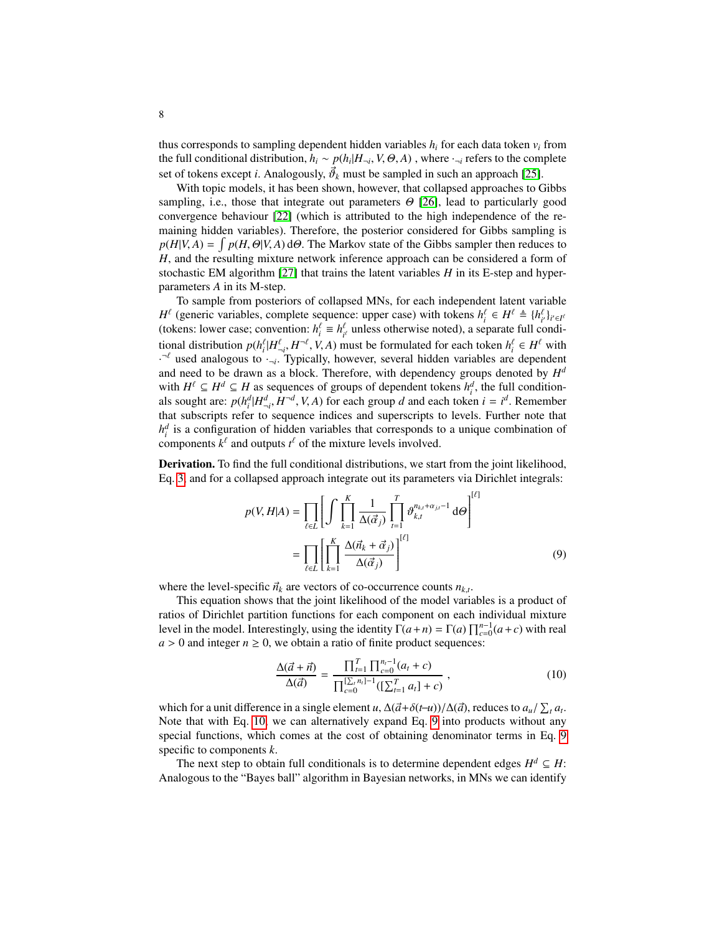thus corresponds to sampling dependent hidden variables  $h_i$  for each data token  $v_i$  from the full conditional distribution,  $h_i \sim p(h_i|H_{\neg i}, V, \Theta, A)$  , where  $\cdot_{\neg i}$  refers to the complete set of tokens except *i*. Analogously,  $\vec{\theta}_k$  must be sampled in such an approach [\[25\]](#page-15-3).

With topic models, it has been shown, however, that collapsed approaches to Gibbs sampling, i.e., those that integrate out parameters  $\Theta$  [\[26\]](#page-15-4), lead to particularly good convergence behaviour [\[22\]](#page-15-0) (which is attributed to the high independence of the remaining hidden variables). Therefore, the posterior considered for Gibbs sampling is  $p(H|V, A) = \int p(H, \Theta|V, A) d\Theta$ . The Markov state of the Gibbs sampler then reduces to *H*, and the resulting mixture network inference approach can be considered a form of stochastic EM algorithm [\[27\]](#page-15-5) that trains the latent variables *H* in its E-step and hyperparameters *A* in its M-step.

To sample from posteriors of collapsed MNs, for each independent latent variable *H*<sup> $\ell$ </sup> (generic variables, complete sequence: upper case) with tokens  $h_i^{\ell} \in H^{\ell} \triangleq \{h_i^{\ell}\}_{i \in I^{\ell}}$ (tokens: lower case; convention:  $h_i^{\ell} \equiv h_{i^{\ell}}^{\ell}$  unless otherwise noted), a separate full conditional distribution  $p(h_i^{\ell}|H_{\neg i}^{\ell}, H^{-\ell}, V, A)$  must be formulated for each token  $h_i^{\ell} \in H^{\ell}$  with ¬*i*  $\cdot$ <sup>- $\ell$ </sup> used analogous to  $\cdot$ <sub>-*i*</sub>. Typically, however, several hidden variables are dependent and need to be drawn as a block. Therefore, with dependency groups denoted by *H d* with  $H^{\ell} \subseteq H^d \subseteq H$  as sequences of groups of dependent tokens  $h_i^d$ , the full conditionals sought are:  $p(h_i^d | H_{-i}^d, H^{-d}, V, A)$  for each group *d* and each token  $i = i^d$ . Remember that subscripts refer to sequence indices and superscripts to levels. Further note that  $h_i^d$  is a configuration of hidden variables that corresponds to a unique combination of components  $k^{\ell}$  and outputs  $t^{\ell}$  of the mixture levels involved.

Derivation. To find the full conditional distributions, we start from the joint likelihood, Eq. [3,](#page-2-3) and for a collapsed approach integrate out its parameters via Dirichlet integrals:

$$
p(V, H|A) = \prod_{\ell \in L} \left[ \int \prod_{k=1}^{K} \frac{1}{\Delta(\vec{\alpha}_j)} \prod_{t=1}^{T} \vartheta_{k,t}^{n_{k,t} + \alpha_{j,t} - 1} d\Theta \right]^{[\ell]}
$$

$$
= \prod_{\ell \in L} \left[ \prod_{k=1}^{K} \frac{\Delta(\vec{n}_k + \vec{\alpha}_j)}{\Delta(\vec{\alpha}_j)} \right]^{[\ell]}
$$
(9)

where the level-specific  $\vec{n}_k$  are vectors of co-occurrence counts  $n_{k,t}$ .

This equation shows that the joint likelihood of the model variables is a product of ratios of Dirichlet partition functions for each component on each individual mixture level in the model. Interestingly, using the identity  $\Gamma(a+n) = \Gamma(a) \prod_{c=0}^{n-1} (a+c)$  with real  $a > 0$  and integer  $n \ge 0$ , we obtain a ratio of finite product sequences:

<span id="page-7-1"></span><span id="page-7-0"></span>
$$
\frac{\Delta(\vec{a} + \vec{n})}{\Delta(\vec{a})} = \frac{\prod_{t=1}^{T} \prod_{c=0}^{n_t - 1} (a_t + c)}{\prod_{c=0}^{\lfloor \sum_{t=1}^{T} n_t \rfloor - 1} (\lfloor \sum_{t=1}^{T} a_t \rfloor + c)},
$$
\n(10)

which for a unit difference in a single element *u*,  $\Delta(\vec{a}+\delta(t-u))/\Delta(\vec{a})$ , reduces to  $a_u/\sum_t a_t$ . Note that with Eq. [10,](#page-7-0) we can alternatively expand Eq. [9](#page-7-1) into products without any special functions, which comes at the cost of obtaining denominator terms in Eq. [9](#page-7-1) specific to components *k*.

The next step to obtain full conditionals is to determine dependent edges  $H^d \subseteq H$ : Analogous to the "Bayes ball" algorithm in Bayesian networks, in MNs we can identify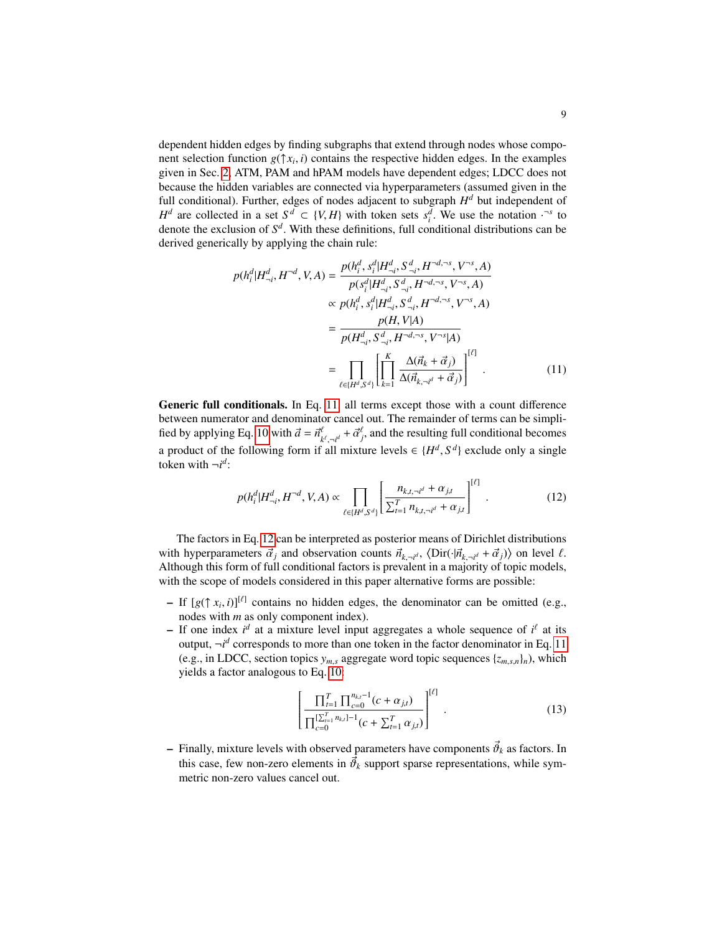dependent hidden edges by finding subgraphs that extend through nodes whose component selection function  $g(\uparrow x_i, i)$  contains the respective hidden edges. In the examples given in Sec. [2,](#page-1-0) ATM, PAM and hPAM models have dependent edges; LDCC does not because the hidden variables are connected via hyperparameters (assumed given in the full conditional). Further, edges of nodes adjacent to subgraph  $H<sup>d</sup>$  but independent of *H*<sup>*d*</sup> are collected in a set  $S^d \subset \{V, H\}$  with token sets  $s_i^d$ . We use the notation ·<sup>-*s*</sup> to denote the exclusion of *S d* . With these definitions, full conditional distributions can be derived generically by applying the chain rule:

<span id="page-8-0"></span>
$$
p(h_i^d | H_{\neg i}^d, H^{-d}, V, A) = \frac{p(h_i^d, s_i^d | H_{\neg i}^d, S_{\neg i}^d, H^{-d, \neg s}, V^{-s}, A)}{p(s_i^d | H_{\neg i}^d, S_{\neg i}^d, H^{-d, \neg s}, V^{-s}, A)}
$$

$$
\propto p(h_i^d, s_i^d | H_{\neg i}^d, S_{\neg i}^d, H^{-d, \neg s}, V^{-s}, A)
$$

$$
= \frac{p(H, V|A)}{p(H_{\neg i}^d, S_{\neg i}^d, H^{-d, \neg s}, V^{-s}|A)}
$$

$$
= \prod_{\ell \in \{H^d, S^d\}} \left[ \prod_{k=1}^K \frac{\Delta(\vec{n}_k + \vec{\alpha}_j)}{\Delta(\vec{n}_{k, \neg i^d} + \vec{\alpha}_j)} \right]^{[\ell]}
$$
(11)

Generic full conditionals. In Eq. [11,](#page-8-0) all terms except those with a count difference between numerator and denominator cancel out. The remainder of terms can be simpli-fied by applying Eq. [10](#page-7-0) with  $\vec{a} = \vec{n}_h^a$  $\hat{a}^{\ell}_{k', \neg i^d} + \vec{\alpha}^{\ell}_{j}$ , and the resulting full conditional becomes a product of the following form if all mixture levels  $\in \{H^d, S^d\}$  exclude only a single token with  $\neg i^d$ :

<span id="page-8-1"></span>
$$
p(h_i^d | H_{\neg i}^d, H^{\neg d}, V, A) \propto \prod_{\ell \in \{H^d, S^d\}} \left[ \frac{n_{k,t,\neg i^d} + \alpha_{j,t}}{\sum_{t=1}^T n_{k,t,\neg i^d} + \alpha_{j,t}} \right]^{[\ell]}.
$$
 (12)

The factors in Eq. [12](#page-8-1) can be interpreted as posterior means of Dirichlet distributions with hyperparameters  $\vec{\alpha}_j$  and observation counts  $\vec{n}_{k, \neg i^d}$ ,  $\langle \text{Dir}(\cdot | \vec{n}_{k, \neg i^d} + \vec{\alpha}_j) \rangle$  on level  $\ell$ . Although this form of full conditional factors is prevalent in a majority of topic models, with the scope of models considered in this paper alternative forms are possible:

- $-$  If  $[g(\uparrow x_i, i)]^{[\ell]}$  contains no hidden edges, the denominator can be omitted (e.g., nodes with *m* as only component index).
- $-$  If one index  $i^d$  at a mixture level input aggregates a whole sequence of  $i^l$  at its output,  $\neg i^d$  corresponds to more than one token in the factor denominator in Eq. [11](#page-8-0) (e.g., in LDCC, section topics  $y_{m,s}$  aggregate word topic sequences  $\{z_{m,s,n}\}_n$ ), which yields a factor analogous to Eq. [10:](#page-7-0)

<span id="page-8-2"></span>
$$
\left[\frac{\prod_{t=1}^{T} \prod_{c=0}^{n_{k,t}-1} (c + \alpha_{j,t})}{\prod_{c=0}^{\lfloor \sum_{t=1}^{T} n_{k,t} \rfloor - 1} (c + \sum_{t=1}^{T} \alpha_{j,t})}\right]^{[\ell]}.
$$
\n(13)

 $-$  Finally, mixture levels with observed parameters have components  $\vec{\theta}_k$  as factors. In this case, few non-zero elements in  $\vec{\theta}_k$  support sparse representations, while symmetric non-zero values cancel out.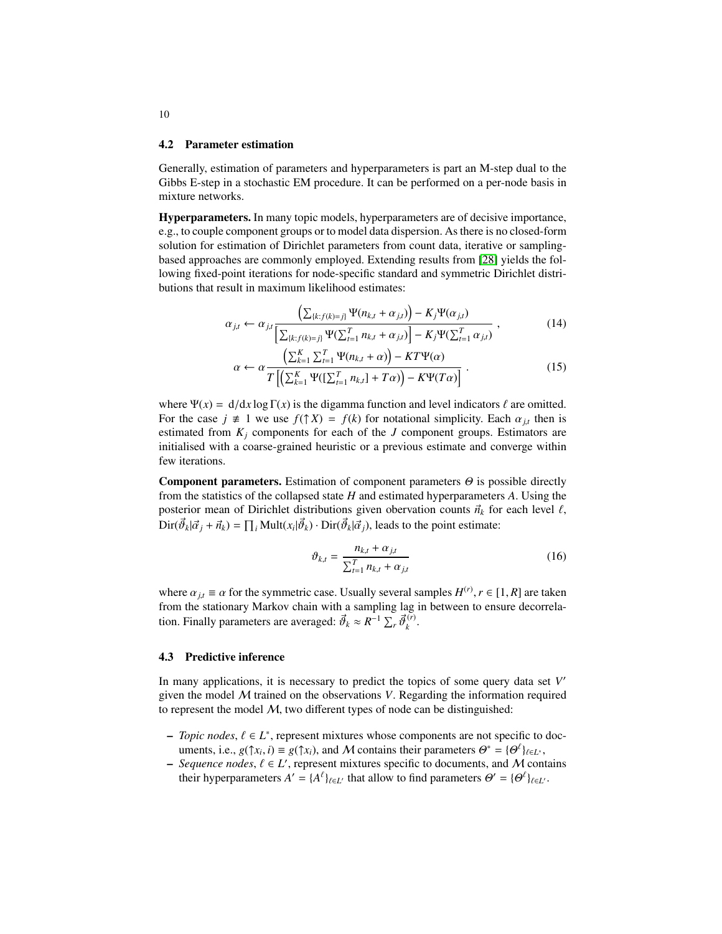### 4.2 Parameter estimation

Generally, estimation of parameters and hyperparameters is part an M-step dual to the Gibbs E-step in a stochastic EM procedure. It can be performed on a per-node basis in mixture networks.

Hyperparameters. In many topic models, hyperparameters are of decisive importance, e.g., to couple component groups or to model data dispersion. As there is no closed-form solution for estimation of Dirichlet parameters from count data, iterative or samplingbased approaches are commonly employed. Extending results from [\[28\]](#page-15-6) yields the following fixed-point iterations for node-specific standard and symmetric Dirichlet distributions that result in maximum likelihood estimates:

$$
\alpha_{j,t} \leftarrow \alpha_{j,t} \frac{\left(\sum_{\{k:f(k)=j\}} \Psi(n_{k,t} + \alpha_{j,t})\right) - K_j \Psi(\alpha_{j,t})}{\left[\sum_{\{k:f(k)=j\}} \Psi(\sum_{t=1}^T n_{k,t} + \alpha_{j,t})\right] - K_j \Psi(\sum_{t=1}^T \alpha_{j,t})},\tag{14}
$$

<span id="page-9-1"></span>
$$
\alpha \leftarrow \alpha \frac{\left(\sum_{k=1}^{K} \sum_{t=1}^{T} \Psi(n_{k,t} + \alpha)\right) - KT\Psi(\alpha)}{T\left[\left(\sum_{k=1}^{K} \Psi([\sum_{t=1}^{T} n_{k,t}] + T\alpha)\right) - K\Psi(T\alpha)\right]}.
$$
\n(15)

where  $\Psi(x) = d/dx \log \Gamma(x)$  is the digamma function and level indicators  $\ell$  are omitted. For the case  $j \neq 1$  we use  $f(\uparrow X) = f(k)$  for notational simplicity. Each  $\alpha_{j,t}$  then is estimated from  $K_j$  components for each of the *J* component groups. Estimators are initialised with a coarse-grained heuristic or a previous estimate and converge within few iterations.

**Component parameters.** Estimation of component parameters  $\Theta$  is possible directly from the statistics of the collapsed state *H* and estimated hyperparameters *A*. Using the posterior mean of Dirichlet distributions given obervation counts  $\vec{n}_k$  for each level  $\ell$ ,  $\text{Dir}(\vec{\theta}_k | \vec{\alpha}_j + \vec{n}_k) = \prod_i \text{Mult}(x_i | \vec{\theta}_k) \cdot \text{Dir}(\vec{\theta}_k | \vec{\alpha}_j)$ , leads to the point estimate:

<span id="page-9-3"></span><span id="page-9-0"></span>
$$
\vartheta_{k,t} = \frac{n_{k,t} + \alpha_{j,t}}{\sum_{t=1}^{T} n_{k,t} + \alpha_{j,t}}
$$
(16)

where  $\alpha_{j,t} \equiv \alpha$  for the symmetric case. Usually several samples  $H^{(r)}$ ,  $r \in [1, R]$  are taken from the stationary Markov chain with a sampling lag in between to ensure decorrelation. Finally parameters are averaged:  $\vec{\theta}_k \approx R^{-1} \sum_r \vec{\theta}_k^{(r)}$ *k* .

### <span id="page-9-2"></span>4.3 Predictive inference

In many applications, it is necessary to predict the topics of some query data set *V* 0 given the model M trained on the observations *V*. Regarding the information required to represent the model  $M$ , two different types of node can be distinguished:

- $\textit{–}$  *Topic nodes*,  $\ell \in L^*$ , represent mixtures whose components are not specific to documents, i.e.,  $g(\uparrow x_i, i) \equiv g(\uparrow x_i)$ , and M contains their parameters  $\Theta^* = {\Theta^{\ell}}_{\ell \in L^*}$ ,
- *Sequence nodes*,  $\ell \in L'$ , represent mixtures specific to documents, and M contains their hyperparameters  $A' = \{A^{\ell}\}_{{\ell} \in L'}$  that allow to find parameters  $\Theta' = \{\Theta^{\ell}\}_{{\ell} \in L'}$ .

10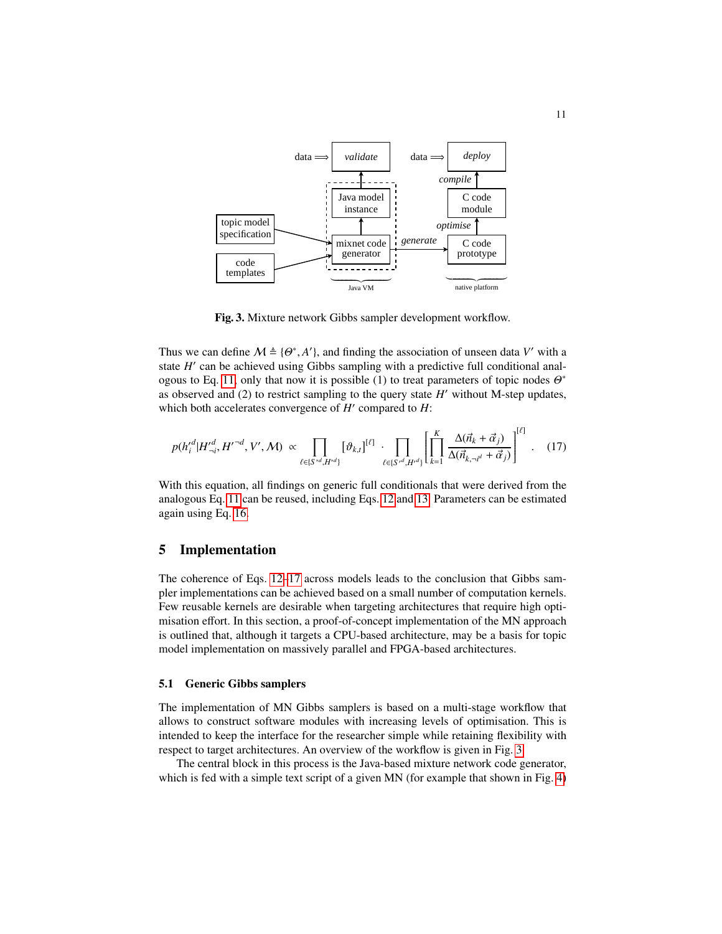

<span id="page-10-2"></span><span id="page-10-1"></span>Fig. 3. Mixture network Gibbs sampler development workflow.

Thus we can define  $M \triangleq \{ \Theta^*, A' \}$ , and finding the association of unseen data V' with a state *H'* can be achieved using Gibbs sampling with a predictive full conditional anal-ogous to Eq. [11,](#page-8-0) only that now it is possible (1) to treat parameters of topic nodes  $\Theta^*$ as observed and  $(2)$  to restrict sampling to the query state  $H'$  without M-step updates, which both accelerates convergence of  $H'$  compared to  $H$ :

$$
p(h_i'^d | H_{\neg i}'^d, H'^{\neg d}, V', M) \propto \prod_{\ell \in \{S^{*d}, H^{*d}\}} [\vartheta_{k,l}]^{[\ell]} \cdot \prod_{\ell \in \{S^{*d}, H^{*d}\}} \left[ \prod_{k=1}^K \frac{\Delta(\vec{n}_k + \vec{\alpha}_j)}{\Delta(\vec{n}_{k, \neg i'} + \vec{\alpha}_j)} \right]^{[\ell]}.
$$
 (17)

With this equation, all findings on generic full conditionals that were derived from the analogous Eq. [11](#page-8-0) can be reused, including Eqs. [12](#page-8-1) and [13.](#page-8-2) Parameters can be estimated again using Eq. [16.](#page-9-0)

### <span id="page-10-0"></span>5 Implementation

The coherence of Eqs. [12–](#page-8-1)[17](#page-10-1) across models leads to the conclusion that Gibbs sampler implementations can be achieved based on a small number of computation kernels. Few reusable kernels are desirable when targeting architectures that require high optimisation effort. In this section, a proof-of-concept implementation of the MN approach is outlined that, although it targets a CPU-based architecture, may be a basis for topic model implementation on massively parallel and FPGA-based architectures.

#### 5.1 Generic Gibbs samplers

The implementation of MN Gibbs samplers is based on a multi-stage workflow that allows to construct software modules with increasing levels of optimisation. This is intended to keep the interface for the researcher simple while retaining flexibility with respect to target architectures. An overview of the workflow is given in Fig. [3.](#page-10-2)

The central block in this process is the Java-based mixture network code generator, which is fed with a simple text script of a given MN (for example that shown in Fig. [4\)](#page-11-0)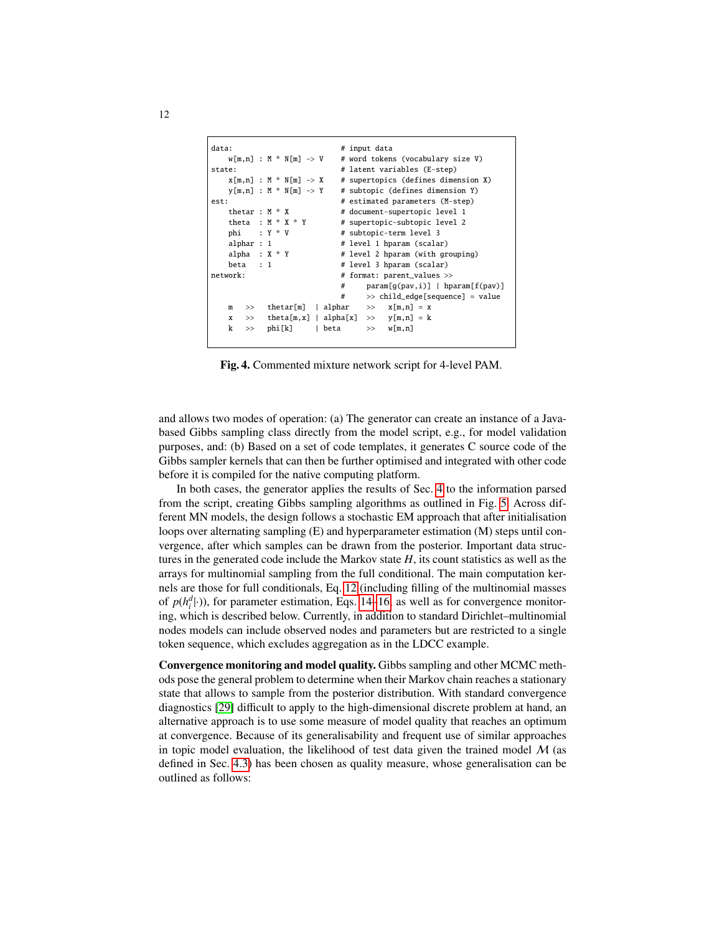```
data: # input dataw[m,n] : M * N[m] \rightarrow V # word tokens (vocabulary size V)
state: \# latent variables (E-step)
   x[m,n] : M * N[m] \rightarrow X # supertopics (defines dimension X)<br>y[m,n] : M * N[m] \rightarrow Y # subtopic (defines dimension Y)
                             # subtopic (defines dimension Y)
est: \# estimated parameters (M-step)
   thetar : M * X # document-supertopic level 1
        a : M * X * Y # supertopic-subtopic level 2<br>: Y * V # subtopic-term level 3
   phi : Y * V \qquad # subtopic-term level 3
   alphar : 1 # level 1 hparam (scalar)<br>alpha : X * Y # level 2 hparam (with gr
                             # level 2 hparam (with grouping)
    beta : 1 # level 3 hparam (scalar)
network: # format: parent_values >>
                              # param[g(pav,i)] | hparam[f(pav)]
                              # >> child_edge[sequence] = value
   m \gg thetar[m] | alphar \gg x[m,n] = xx \Rightarrow theta[m, x] | alpha[x] \Rightarrow y[m, n] = k
   k \gg phi[k] | beta \gg w[m,n]
```
<span id="page-11-0"></span>Fig. 4. Commented mixture network script for 4-level PAM.

and allows two modes of operation: (a) The generator can create an instance of a Javabased Gibbs sampling class directly from the model script, e.g., for model validation purposes, and: (b) Based on a set of code templates, it generates C source code of the Gibbs sampler kernels that can then be further optimised and integrated with other code before it is compiled for the native computing platform.

In both cases, the generator applies the results of Sec. [4](#page-6-0) to the information parsed from the script, creating Gibbs sampling algorithms as outlined in Fig. [5.](#page-12-0) Across different MN models, the design follows a stochastic EM approach that after initialisation loops over alternating sampling (E) and hyperparameter estimation (M) steps until convergence, after which samples can be drawn from the posterior. Important data structures in the generated code include the Markov state *H*, its count statistics as well as the arrays for multinomial sampling from the full conditional. The main computation kernels are those for full conditionals, Eq. [12](#page-8-1) (including filling of the multinomial masses of  $p(h_i^d| \cdot)$ ), for parameter estimation, Eqs. [14–](#page-9-1)[16,](#page-9-0) as well as for convergence monitoring, which is described below. Currently, in addition to standard Dirichlet–multinomial nodes models can include observed nodes and parameters but are restricted to a single token sequence, which excludes aggregation as in the LDCC example.

Convergence monitoring and model quality. Gibbs sampling and other MCMC methods pose the general problem to determine when their Markov chain reaches a stationary state that allows to sample from the posterior distribution. With standard convergence diagnostics [\[29\]](#page-15-7) difficult to apply to the high-dimensional discrete problem at hand, an alternative approach is to use some measure of model quality that reaches an optimum at convergence. Because of its generalisability and frequent use of similar approaches in topic model evaluation, the likelihood of test data given the trained model  $M$  (as defined in Sec. [4.3\)](#page-9-2) has been chosen as quality measure, whose generalisation can be outlined as follows: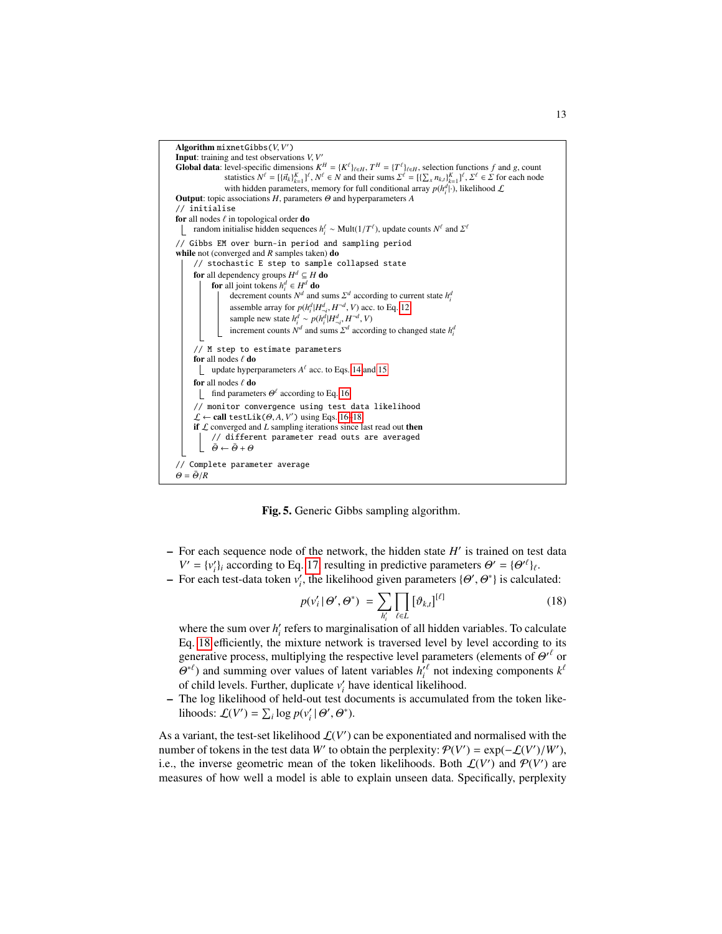Algorithm mixnetGibbs(*V*, *V* 0) Input: training and test observations *V*, *V* 0 **Global data**: level-specific dimensions  $K^H = \{K^{\ell}\}_{\ell \in H}$ ,  $T^H = \{T^{\ell}\}_{\ell \in H}$ , selection functions f and g, count statistics  $N^{\ell} = \{\{\vec{n}_k\}_{k=1}^{\ell} \}^{\ell}$ ,  $N^{\ell} \in N$  and their sums  $\Sigma^{\ell} = \{[\sum_{x} n_{k,l}\}_{k=1}^{\ell} \}$ with hidden parameters, memory for full conditional array  $p(h_i^d|\cdot)$ , likelihood  $\mathcal L$ Output: topic associations *H*, parameters Θ and hyperparameters *A* // initialise for all nodes  $\ell$  in topological order do random initialise hidden sequences  $h_i^{\ell} \sim \text{Mult}(1/T^{\ell})$ , update counts  $N^{\ell}$  and  $\Sigma^{\ell}$ // Gibbs EM over burn-in period and sampling period while not (converged and *R* samples taken) do // stochastic E step to sample collapsed state for all dependency groups  $H^d \subseteq H$  do **for** all joint tokens  $h_i^d \in H_i^d$  **do** decrement counts  $N^d$  and sums  $\Sigma^d$  according to current state  $h_i^d$ assemble array for  $p(h_i^d | H_{i,j}^d, H^{-d}, V)$  acc. to Eq. [12](#page-8-1) sample new state  $h_i^d \sim p(h_i^d | H_{\neg i}^d, H^{-d}, V)$ increment counts  $N^d$  and sums  $\Sigma^d$  according to changed state  $h_i^d$ // M step to estimate parameters for all nodes  $\ell$  do update hyperparameters  $A^{\ell}$  acc. to Eqs. [14](#page-9-1) and [15](#page-9-3) for all nodes  $\ell$  do find parameters  $\Theta^{\ell}$  according to Eq. [16](#page-9-0) // monitor convergence using test data likelihood  $\mathcal{L} \leftarrow$  **call** testLik( $\Theta$ , *A*, *V'*) using Eqs. [16–](#page-9-0)[18](#page-12-1) if  $\mathcal L$  converged and  $L$  sampling iterations since last read out then // different parameter read outs are averaged  $\bar{\theta} \leftarrow \bar{\theta} + \theta$ // Complete parameter average  $\Theta = \bar{\Theta}/R$ 

<span id="page-12-0"></span>Fig. 5. Generic Gibbs sampling algorithm.

- $-$  For each sequence node of the network, the hidden state  $H'$  is trained on test data  $V' = \{v'_i\}_i$  according to Eq. [17,](#page-10-1) resulting in predictive parameters  $\Theta' = {\Theta'}^{\ell}\}_\ell$ .
- $\rightarrow$  For each test-data token  $v_i'$ , the likelihood given parameters  $\{\Theta', \Theta^*\}$  is calculated:

<span id="page-12-1"></span>
$$
p(v_i' | \Theta', \Theta^*) = \sum_{h_i'} \prod_{\ell \in L} [\theta_{k,t}]^{[\ell]}
$$
 (18)

where the sum over  $h_i'$  refers to marginalisation of all hidden variables. To calculate Eq. [18](#page-12-1) efficiently, the mixture network is traversed level by level according to its generative process, multiplying the respective level parameters (elements of  $\Theta^{\prime \ell}$  or  $\Theta^{*l}$ ) and summing over values of latent variables  $h_i^{\prime l}$  not indexing components  $k^l$ of child levels. Further, duplicate  $v_i'$  have identical likelihood.

– The log likelihood of held-out test documents is accumulated from the token likelihoods:  $\mathcal{L}(V') = \sum_i \log p(v'_i | \Theta', \Theta^*).$ 

As a variant, the test-set likelihood  $\mathcal{L}(V')$  can be exponentiated and normalised with the number of tokens in the test data *W'* to obtain the perplexity:  $P(V') = \exp(-\mathcal{L}(V')/W')$ , i.e., the inverse geometric mean of the token likelihoods. Both  $\mathcal{L}(V')$  and  $\mathcal{P}(V')$  are measures of how well a model is able to explain unseen data. Specifically, perplexity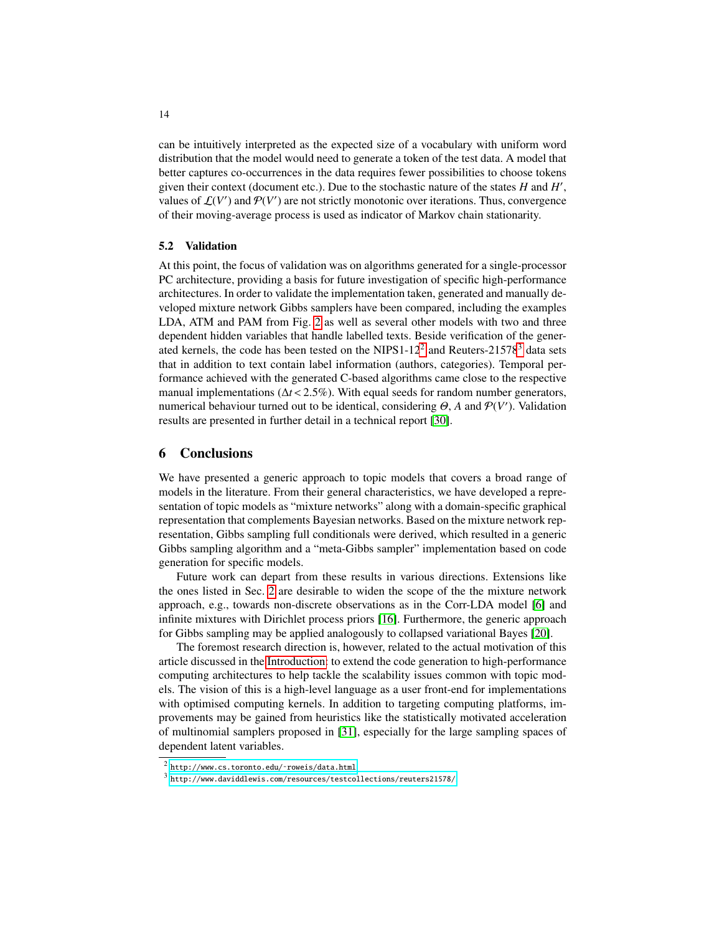can be intuitively interpreted as the expected size of a vocabulary with uniform word distribution that the model would need to generate a token of the test data. A model that better captures co-occurrences in the data requires fewer possibilities to choose tokens given their context (document etc.). Due to the stochastic nature of the states *H* and *H* 0 , values of  $\mathcal{L}(V')$  and  $\mathcal{P}(V')$  are not strictly monotonic over iterations. Thus, convergence of their moving-average process is used as indicator of Markov chain stationarity.

### 5.2 Validation

At this point, the focus of validation was on algorithms generated for a single-processor PC architecture, providing a basis for future investigation of specific high-performance architectures. In order to validate the implementation taken, generated and manually developed mixture network Gibbs samplers have been compared, including the examples LDA, ATM and PAM from Fig. [2](#page-5-0) as well as several other models with two and three dependent hidden variables that handle labelled texts. Beside verification of the gener-ated kernels, the code has been tested on the NIPS1-1[2](#page-13-1)<sup>2</sup> and Reuters-21578<sup>[3](#page-13-2)</sup> data sets that in addition to text contain label information (authors, categories). Temporal performance achieved with the generated C-based algorithms came close to the respective manual implementations ( $\Delta t < 2.5\%$ ). With equal seeds for random number generators, numerical behaviour turned out to be identical, considering  $\Theta$ , *A* and  $\mathcal{P}(V')$ . Validation results are presented in further detail in a technical report [\[30\]](#page-15-8).

### <span id="page-13-0"></span>6 Conclusions

We have presented a generic approach to topic models that covers a broad range of models in the literature. From their general characteristics, we have developed a representation of topic models as "mixture networks" along with a domain-specific graphical representation that complements Bayesian networks. Based on the mixture network representation, Gibbs sampling full conditionals were derived, which resulted in a generic Gibbs sampling algorithm and a "meta-Gibbs sampler" implementation based on code generation for specific models.

Future work can depart from these results in various directions. Extensions like the ones listed in Sec. [2](#page-1-0) are desirable to widen the scope of the the mixture network approach, e.g., towards non-discrete observations as in the Corr-LDA model [\[6\]](#page-14-5) and infinite mixtures with Dirichlet process priors [\[16\]](#page-14-15). Furthermore, the generic approach for Gibbs sampling may be applied analogously to collapsed variational Bayes [\[20\]](#page-14-19).

The foremost research direction is, however, related to the actual motivation of this article discussed in the [Introduction:](#page-0-0) to extend the code generation to high-performance computing architectures to help tackle the scalability issues common with topic models. The vision of this is a high-level language as a user front-end for implementations with optimised computing kernels. In addition to targeting computing platforms, improvements may be gained from heuristics like the statistically motivated acceleration of multinomial samplers proposed in [\[31\]](#page-15-9), especially for the large sampling spaces of dependent latent variables.

<span id="page-13-1"></span> $^2$  http://www.cs.toronto.edu/~roweis/data.html.

<span id="page-13-2"></span> $^3$  <http://www.daviddlewis.com/resources/testcollections/reuters21578/>.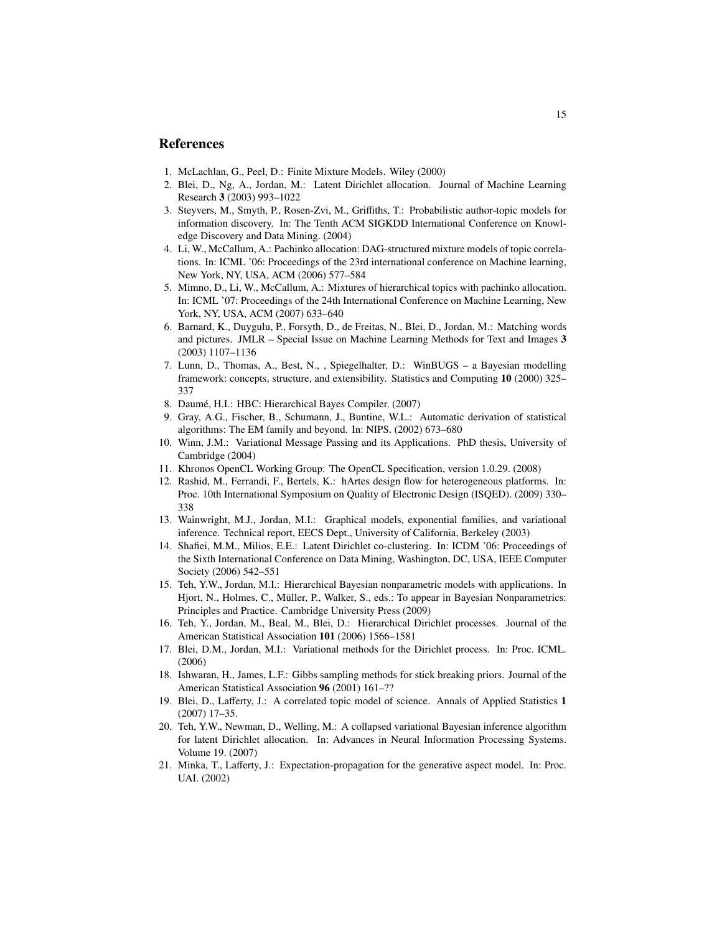### References

- <span id="page-14-0"></span>1. McLachlan, G., Peel, D.: Finite Mixture Models. Wiley (2000)
- <span id="page-14-1"></span>2. Blei, D., Ng, A., Jordan, M.: Latent Dirichlet allocation. Journal of Machine Learning Research 3 (2003) 993–1022
- <span id="page-14-2"></span>3. Steyvers, M., Smyth, P., Rosen-Zvi, M., Griffiths, T.: Probabilistic author-topic models for information discovery. In: The Tenth ACM SIGKDD International Conference on Knowledge Discovery and Data Mining. (2004)
- <span id="page-14-3"></span>4. Li, W., McCallum, A.: Pachinko allocation: DAG-structured mixture models of topic correlations. In: ICML '06: Proceedings of the 23rd international conference on Machine learning, New York, NY, USA, ACM (2006) 577–584
- <span id="page-14-4"></span>5. Mimno, D., Li, W., McCallum, A.: Mixtures of hierarchical topics with pachinko allocation. In: ICML '07: Proceedings of the 24th International Conference on Machine Learning, New York, NY, USA, ACM (2007) 633–640
- <span id="page-14-5"></span>6. Barnard, K., Duygulu, P., Forsyth, D., de Freitas, N., Blei, D., Jordan, M.: Matching words and pictures. JMLR – Special Issue on Machine Learning Methods for Text and Images 3 (2003) 1107–1136
- <span id="page-14-6"></span>7. Lunn, D., Thomas, A., Best, N., , Spiegelhalter, D.: WinBUGS – a Bayesian modelling framework: concepts, structure, and extensibility. Statistics and Computing 10 (2000) 325– 337
- <span id="page-14-7"></span>8. Daumé, H.I.: HBC: Hierarchical Bayes Compiler. (2007)
- <span id="page-14-8"></span>9. Gray, A.G., Fischer, B., Schumann, J., Buntine, W.L.: Automatic derivation of statistical algorithms: The EM family and beyond. In: NIPS. (2002) 673–680
- <span id="page-14-9"></span>10. Winn, J.M.: Variational Message Passing and its Applications. PhD thesis, University of Cambridge (2004)
- <span id="page-14-10"></span>11. Khronos OpenCL Working Group: The OpenCL Specification, version 1.0.29. (2008)
- <span id="page-14-11"></span>12. Rashid, M., Ferrandi, F., Bertels, K.: hArtes design flow for heterogeneous platforms. In: Proc. 10th International Symposium on Quality of Electronic Design (ISQED). (2009) 330– 338
- <span id="page-14-12"></span>13. Wainwright, M.J., Jordan, M.I.: Graphical models, exponential families, and variational inference. Technical report, EECS Dept., University of California, Berkeley (2003)
- <span id="page-14-13"></span>14. Shafiei, M.M., Milios, E.E.: Latent Dirichlet co-clustering. In: ICDM '06: Proceedings of the Sixth International Conference on Data Mining, Washington, DC, USA, IEEE Computer Society (2006) 542–551
- <span id="page-14-14"></span>15. Teh, Y.W., Jordan, M.I.: Hierarchical Bayesian nonparametric models with applications. In Hjort, N., Holmes, C., Müller, P., Walker, S., eds.: To appear in Bayesian Nonparametrics: Principles and Practice. Cambridge University Press (2009)
- <span id="page-14-15"></span>16. Teh, Y., Jordan, M., Beal, M., Blei, D.: Hierarchical Dirichlet processes. Journal of the American Statistical Association 101 (2006) 1566–1581
- <span id="page-14-16"></span>17. Blei, D.M., Jordan, M.I.: Variational methods for the Dirichlet process. In: Proc. ICML. (2006)
- <span id="page-14-17"></span>18. Ishwaran, H., James, L.F.: Gibbs sampling methods for stick breaking priors. Journal of the American Statistical Association 96 (2001) 161–??
- <span id="page-14-18"></span>19. Blei, D., Lafferty, J.: A correlated topic model of science. Annals of Applied Statistics 1 (2007) 17–35.
- <span id="page-14-19"></span>20. Teh, Y.W., Newman, D., Welling, M.: A collapsed variational Bayesian inference algorithm for latent Dirichlet allocation. In: Advances in Neural Information Processing Systems. Volume 19. (2007)
- <span id="page-14-20"></span>21. Minka, T., Lafferty, J.: Expectation-propagation for the generative aspect model. In: Proc. UAI. (2002)